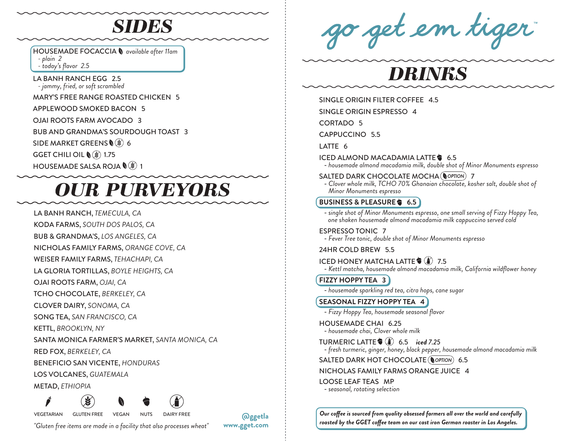# *SIDES*

HOUSEMADE FOCACCIA *available after 11am*

 *- plain 2*

 *- today's flavor 2.5*

LA BANH RANCH EGG 2.5  *- jammy, fried, or soft scrambled*

MARY'S FREE RANGE ROASTED CHICKEN 5

APPLEWOOD SMOKED BACON 5

OJAI ROOTS FARM AVOCADO 3

BUB AND GRANDMA'S SOURDOUGH TOAST 3

SIDE MARKET GREENS (\$) 6

GGET CHILI OIL  $\mathcal{N}(\mathcal{E})$  1.75

HOUSEMADE SALSA ROJA  $\mathcal{N}(\mathcal{E})$  1

# *OUR PURVEYORS*

LA BANH RANCH, *TEMECULA, CA*

KODA FARMS, *SOUTH DOS PALOS, CA*

BUB & GRANDMA'S, *LOS ANGELES, CA*

NICHOLAS FAMILY FARMS, *ORANGE COVE, CA*

WEISER FAMILY FARMS, *TEHACHAPI, CA*

LA GLORIA TORTILLAS, *BOYLE HEIGHTS, CA*

OJAI ROOTS FARM, *OJAI, CA*

TCHO CHOCOLATE, *BERKELEY, CA*

CLOVER DAIRY, *SONOMA, CA*

SONG TEA, *SAN FRANCISCO, CA*

KETTL, *BROOKLYN, NY*

SANTA MONICA FARMER'S MARKET, *SANTA MONICA, CA*

RED FOX, *BERKELEY, CA*

BENEFICIO SAN VICENTE, *HONDURAS*

LOS VOLCANES, *GUATEMALA*

METAD, *ETHIOPIA*

VEGETARIAN GLUTEN FREE VEGAN NUTS DAIRY FREE

**@ggetla www.gget.com**

*"Gluten free items are made in a facility that also processes wheat"*

go get em tiger

# *DRINKS*

SINGLE ORIGIN FILTER COFFEE 4.5

SINGLE ORIGIN ESPRESSO 4

CORTADO 5

CAPPUCCINO 5.5

LATTE 6

ICED ALMOND MACADAMIA LATTE<sup>3</sup> 6.5

- *housemade almond macadamia milk, double shot of Minor Monuments espresso*

### SALTED DARK CHOCOLATE MOCHA ( OPTION) 7

 - *Clover whole milk, TCHO 70% Ghanaian chocolate, kosher salt, double shot of Minor Monuments espresso*

# **BUSINESS & PLEASURE 6.5**

 - *single shot of Minor Monuments espresso, one small serving of Fizzy Hoppy Tea, one shaken housemade almond macadamia milk cappuccino served cold*

ESPRESSO TONIC 7

- *Fever Tree tonic, double shot of Minor Monuments espresso*

### 24HR COLD BREW 5.5

ICED HONEY MATCHA LATTE  $\hat{\mathbf{y}}(\hat{\mathbf{i}})$  7.5

- *Kettl matcha, housemade almond macadamia milk, California wildflower honey*

**FIZZY HOPPY TEA 3**

- *housemade sparkling red tea, citra hops, cane sugar*

# **SEASONAL FIZZY HOPPY TEA 4**

- *Fizzy Hoppy Tea, housemade seasonal flavor*

HOUSEMADE CHAI 6.25 - *housemade chai, Clover whole milk*

TURMERIC LATTE 6.5 *iced 7.25*

- *fresh turmeric, ginger, honey, black pepper, housemade almond macadamia milk*

### SALTED DARK HOT CHOCOLATE ( OPTION) 6.5

# NICHOLAS FAMILY FARMS ORANGE JUICE 4

LOOSE LEAF TEAS MP

- *seasonal, rotating selection*

*Our coffee is sourced from quality obsessed farmers all over the world and carefully roasted by the GGET coffee team on our cast iron German roaster in Los Angeles.*